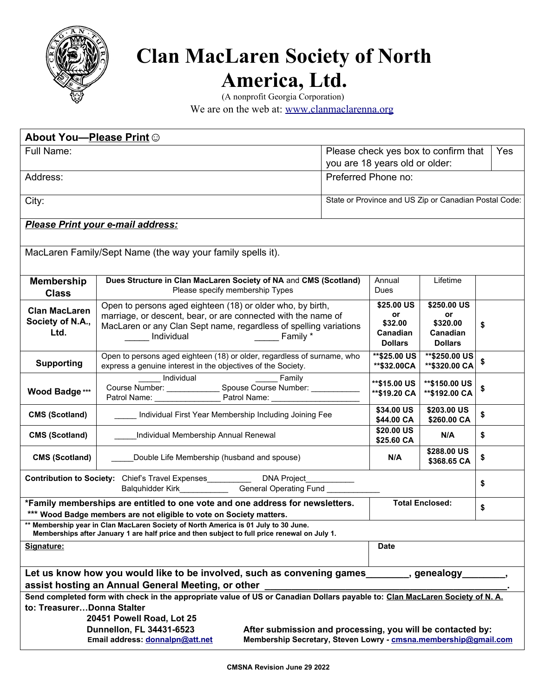

## **Clan MacLaren Society of North America, Ltd.**

(A nonprofit Georgia Corporation) We are on the web at: [www.clanmaclarenna.org](http://www.clanmaclarenna.org/)

| About You-Please Print ©                                                                                                                                                                                                                                                                                                                                                                |                                                                                                                                                                                                                            |                                                                        |                                                           |                                                             |     |  |
|-----------------------------------------------------------------------------------------------------------------------------------------------------------------------------------------------------------------------------------------------------------------------------------------------------------------------------------------------------------------------------------------|----------------------------------------------------------------------------------------------------------------------------------------------------------------------------------------------------------------------------|------------------------------------------------------------------------|-----------------------------------------------------------|-------------------------------------------------------------|-----|--|
| Full Name:                                                                                                                                                                                                                                                                                                                                                                              |                                                                                                                                                                                                                            | Please check yes box to confirm that<br>you are 18 years old or older: |                                                           |                                                             | Yes |  |
| Address:                                                                                                                                                                                                                                                                                                                                                                                |                                                                                                                                                                                                                            |                                                                        | Preferred Phone no:                                       |                                                             |     |  |
| City:                                                                                                                                                                                                                                                                                                                                                                                   |                                                                                                                                                                                                                            |                                                                        | State or Province and US Zip or Canadian Postal Code:     |                                                             |     |  |
| Please Print your e-mail address:                                                                                                                                                                                                                                                                                                                                                       |                                                                                                                                                                                                                            |                                                                        |                                                           |                                                             |     |  |
| MacLaren Family/Sept Name (the way your family spells it).                                                                                                                                                                                                                                                                                                                              |                                                                                                                                                                                                                            |                                                                        |                                                           |                                                             |     |  |
| <b>Membership</b><br><b>Class</b>                                                                                                                                                                                                                                                                                                                                                       | Dues Structure in Clan MacLaren Society of NA and CMS (Scotland)<br>Please specify membership Types                                                                                                                        |                                                                        | Annual<br>Dues                                            | Lifetime                                                    |     |  |
| <b>Clan MacLaren</b><br>Society of N.A.,<br>Ltd.                                                                                                                                                                                                                                                                                                                                        | Open to persons aged eighteen (18) or older who, by birth,<br>marriage, or descent, bear, or are connected with the name of<br>MacLaren or any Clan Sept name, regardless of spelling variations<br>Family *<br>Individual |                                                                        | \$25.00 US<br>or<br>\$32.00<br>Canadian<br><b>Dollars</b> | \$250.00 US<br>or<br>\$320.00<br>Canadian<br><b>Dollars</b> | \$  |  |
| <b>Supporting</b>                                                                                                                                                                                                                                                                                                                                                                       | Open to persons aged eighteen (18) or older, regardless of surname, who<br>express a genuine interest in the objectives of the Society.                                                                                    |                                                                        | ** \$25.00 US<br>**\$32.00CA                              | **\$250.00 US<br>** \$320.00 CA                             | \$  |  |
| Wood Badge ***                                                                                                                                                                                                                                                                                                                                                                          | Individual<br>Family                                                                                                                                                                                                       |                                                                        | ** \$15.00 US<br>** \$19.20 CA                            | **\$150.00 US<br>**\$192.00 CA                              | \$  |  |
| <b>CMS (Scotland)</b>                                                                                                                                                                                                                                                                                                                                                                   | Individual First Year Membership Including Joining Fee                                                                                                                                                                     |                                                                        | \$34.00 US<br>\$44.00 CA                                  | \$203.00 US<br>\$260.00 CA                                  | \$  |  |
| <b>CMS (Scotland)</b>                                                                                                                                                                                                                                                                                                                                                                   | Individual Membership Annual Renewal                                                                                                                                                                                       |                                                                        | \$20.00 US<br>\$25.60 CA                                  | N/A                                                         | \$  |  |
| <b>CMS (Scotland)</b>                                                                                                                                                                                                                                                                                                                                                                   | Double Life Membership (husband and spouse)                                                                                                                                                                                |                                                                        | N/A                                                       | \$288.00 US<br>\$368.65 CA                                  | \$  |  |
| Contribution to Society: Chief's Travel Expenses_____________ DNA Project_<br>Balquhidder Kirk________________General Operating Fund ___________                                                                                                                                                                                                                                        |                                                                                                                                                                                                                            |                                                                        |                                                           | \$                                                          |     |  |
| *Family memberships are entitled to one vote and one address for newsletters.<br>*** Wood Badge members are not eligible to vote on Society matters.                                                                                                                                                                                                                                    |                                                                                                                                                                                                                            |                                                                        | <b>Total Enclosed:</b>                                    |                                                             | \$  |  |
| Membership year in Clan MacLaren Society of North America is 01 July to 30 June.<br>Memberships after January 1 are half price and then subject to full price renewal on July 1.                                                                                                                                                                                                        |                                                                                                                                                                                                                            |                                                                        |                                                           |                                                             |     |  |
| Signature:                                                                                                                                                                                                                                                                                                                                                                              |                                                                                                                                                                                                                            |                                                                        | <b>Date</b>                                               |                                                             |     |  |
| Let us know how you would like to be involved, such as convening games exampled and perform and the Let<br>assist hosting an Annual General Meeting, or other _                                                                                                                                                                                                                         |                                                                                                                                                                                                                            |                                                                        |                                                           |                                                             |     |  |
| Send completed form with check in the appropriate value of US or Canadian Dollars payable to: Clan MacLaren Society of N. A.<br>to: TreasurerDonna Stalter<br>20451 Powell Road, Lot 25<br>Dunnellon, FL 34431-6523<br>After submission and processing, you will be contacted by:<br>Membership Secretary, Steven Lowry - cmsna.membership@gmail.com<br>Email address: donnalpn@att.net |                                                                                                                                                                                                                            |                                                                        |                                                           |                                                             |     |  |